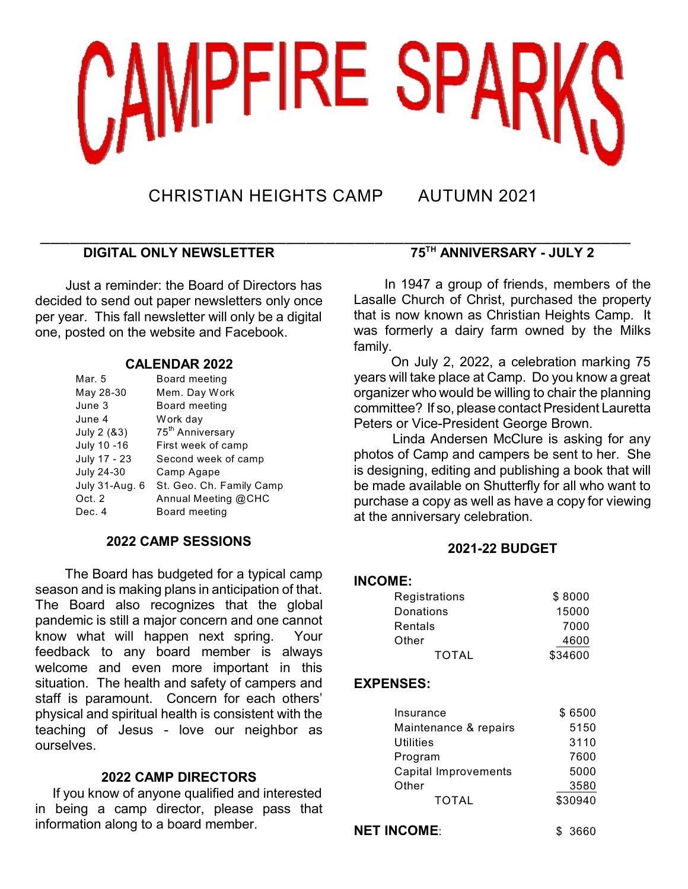

CHRISTIAN HEIGHTS CAMP AUTUMN 2021

# \_\_\_\_\_\_\_\_\_\_\_\_\_\_\_\_\_\_\_\_\_\_\_\_\_\_\_\_\_\_\_\_\_\_\_\_\_\_\_\_\_\_\_\_\_\_\_\_\_\_\_\_\_\_\_\_\_\_\_\_ **DIGITAL ONLY NEWSLETTER**

Just a reminder: the Board of Directors has decided to send out paper newsletters only once per year. This fall newsletter will only be a digital one, posted on the website and Facebook.

## **CALENDAR 2022**

| Mar. 5         | Board meeting                |
|----------------|------------------------------|
| May 28-30      | Mem. Day Work                |
| June 3         | Board meeting                |
| June 4         | Work day                     |
| July 2 (&3)    | 75 <sup>th</sup> Anniversary |
| July 10 -16    | First week of camp           |
| July 17 - 23   | Second week of camp          |
| July 24-30     | Camp Agape                   |
| July 31-Aug. 6 | St. Geo. Ch. Family Camp     |
| Oct. 2         | Annual Meeting @CHC          |
| Dec. 4         | Board meeting                |

## **2022 CAMP SESSIONS**

The Board has budgeted for a typical camp season and is making plans in anticipation of that. The Board also recognizes that the global pandemic is still a major concern and one cannot know what will happen next spring.Your feedback to any board member is always welcome and even more important in this situation. The health and safety of campers and staff is paramount. Concern for each others' physical and spiritual health is consistent with the teaching of Jesus - love our neighbor as ourselves.

## **2022 CAMP DIRECTORS**

 If you know of anyone qualified and interested in being a camp director, please pass that information along to a board member.

# **75<sup>TH</sup> ANNIVERSARY - JULY 2**

 In 1947 a group of friends, members of the Lasalle Church of Christ, purchased the property that is now known as Christian Heights Camp. It was formerly a dairy farm owned by the Milks family.

 On July 2, 2022, a celebration marking 75 years will take place at Camp. Do you know a great organizer who would be willing to chair the planning committee? If so, please contact President Lauretta Peters or Vice-President George Brown.

 Linda Andersen McClure is asking for any photos of Camp and campers be sent to her. She is designing, editing and publishing a book that will be made available on Shutterfly for all who want to purchase a copy as well as have a copy for viewing at the anniversary celebration.

## **2021-22 BUDGET**

## **INCOME:**

| Registrations | \$8000  |
|---------------|---------|
| Donations     | 15000   |
| Rentals       | 7000    |
| Other         | 4600    |
| <b>TOTAL</b>  | \$34600 |

## **EXPENSES:**

|                             | Insurance             | \$6500  |
|-----------------------------|-----------------------|---------|
|                             | Maintenance & repairs | 5150    |
| Utilities                   |                       | 3110    |
|                             | Program               | 7600    |
| <b>Capital Improvements</b> |                       | 5000    |
|                             | Other                 | 3580    |
|                             | <b>TOTAL</b>          | \$30940 |
|                             |                       |         |

**NET INCOME:** \$ 3660